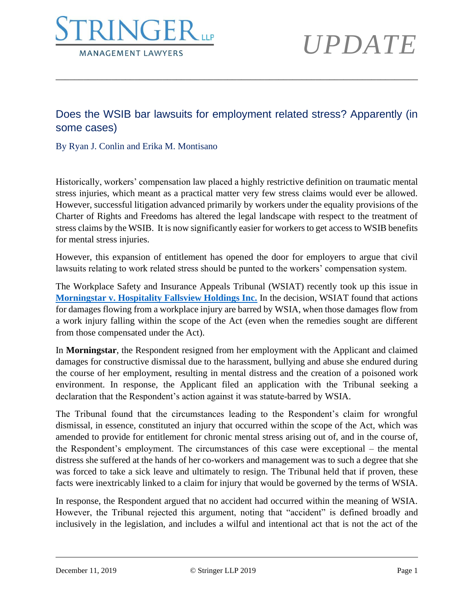

# *UPDATE*

### Does the WSIB bar lawsuits for employment related stress? Apparently (in some cases)

\_\_\_\_\_\_\_\_\_\_\_\_\_\_\_\_\_\_\_\_\_\_\_\_\_\_\_\_\_\_\_\_\_\_\_\_\_\_\_\_\_\_\_\_\_\_\_\_\_\_\_\_\_\_\_\_\_\_\_\_\_\_\_\_\_\_\_\_\_\_\_\_\_\_\_\_\_\_

By Ryan J. Conlin and Erika M. Montisano

Historically, workers' compensation law placed a highly restrictive definition on traumatic mental stress injuries, which meant as a practical matter very few stress claims would ever be allowed. However, successful litigation advanced primarily by workers under the equality provisions of the Charter of Rights and Freedoms has altered the legal landscape with respect to the treatment of stress claims by the WSIB. It is now significantly easier for workers to get access to WSIB benefits for mental stress injuries.

However, this expansion of entitlement has opened the door for employers to argue that civil lawsuits relating to work related stress should be punted to the workers' compensation system.

The Workplace Safety and Insurance Appeals Tribunal (WSIAT) recently took up this issue in **[Morningstar v. Hospitality Fallsview Holdings Inc.](https://www.stringerllp.com/uploads/ckeditor/attachment_files/846/morningstar_v_hospitality_fallsview_holdings_inc.pdf)** In the decision, WSIAT found that actions for damages flowing from a workplace injury are barred by WSIA, when those damages flow from a work injury falling within the scope of the Act (even when the remedies sought are different from those compensated under the Act).

In **Morningstar**, the Respondent resigned from her employment with the Applicant and claimed damages for constructive dismissal due to the harassment, bullying and abuse she endured during the course of her employment, resulting in mental distress and the creation of a poisoned work environment. In response, the Applicant filed an application with the Tribunal seeking a declaration that the Respondent's action against it was statute-barred by WSIA.

The Tribunal found that the circumstances leading to the Respondent's claim for wrongful dismissal, in essence, constituted an injury that occurred within the scope of the Act, which was amended to provide for entitlement for chronic mental stress arising out of, and in the course of, the Respondent's employment. The circumstances of this case were exceptional – the mental distress she suffered at the hands of her co-workers and management was to such a degree that she was forced to take a sick leave and ultimately to resign. The Tribunal held that if proven, these facts were inextricably linked to a claim for injury that would be governed by the terms of WSIA.

In response, the Respondent argued that no accident had occurred within the meaning of WSIA. However, the Tribunal rejected this argument, noting that "accident" is defined broadly and inclusively in the legislation, and includes a wilful and intentional act that is not the act of the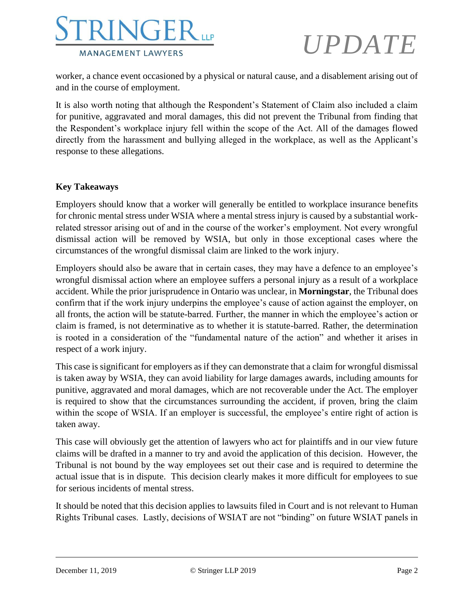

# *UPDATE*

worker, a chance event occasioned by a physical or natural cause, and a disablement arising out of and in the course of employment.

It is also worth noting that although the Respondent's Statement of Claim also included a claim for punitive, aggravated and moral damages, this did not prevent the Tribunal from finding that the Respondent's workplace injury fell within the scope of the Act. All of the damages flowed directly from the harassment and bullying alleged in the workplace, as well as the Applicant's response to these allegations.

#### **Key Takeaways**

Employers should know that a worker will generally be entitled to workplace insurance benefits for chronic mental stress under WSIA where a mental stress injury is caused by a substantial workrelated stressor arising out of and in the course of the worker's employment. Not every wrongful dismissal action will be removed by WSIA, but only in those exceptional cases where the circumstances of the wrongful dismissal claim are linked to the work injury.

Employers should also be aware that in certain cases, they may have a defence to an employee's wrongful dismissal action where an employee suffers a personal injury as a result of a workplace accident. While the prior jurisprudence in Ontario was unclear, in **Morningstar**, the Tribunal does confirm that if the work injury underpins the employee's cause of action against the employer, on all fronts, the action will be statute-barred. Further, the manner in which the employee's action or claim is framed, is not determinative as to whether it is statute-barred. Rather, the determination is rooted in a consideration of the "fundamental nature of the action" and whether it arises in respect of a work injury.

This case is significant for employers as if they can demonstrate that a claim for wrongful dismissal is taken away by WSIA, they can avoid liability for large damages awards, including amounts for punitive, aggravated and moral damages, which are not recoverable under the Act. The employer is required to show that the circumstances surrounding the accident, if proven, bring the claim within the scope of WSIA. If an employer is successful, the employee's entire right of action is taken away.

This case will obviously get the attention of lawyers who act for plaintiffs and in our view future claims will be drafted in a manner to try and avoid the application of this decision. However, the Tribunal is not bound by the way employees set out their case and is required to determine the actual issue that is in dispute. This decision clearly makes it more difficult for employees to sue for serious incidents of mental stress.

It should be noted that this decision applies to lawsuits filed in Court and is not relevant to Human Rights Tribunal cases. Lastly, decisions of WSIAT are not "binding" on future WSIAT panels in